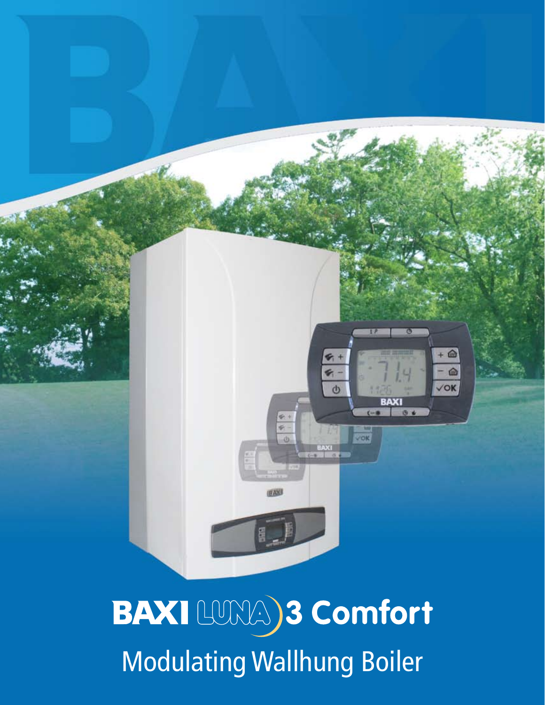

## BAXI LUNA) 3 Comfort Modulating Wallhung Boiler